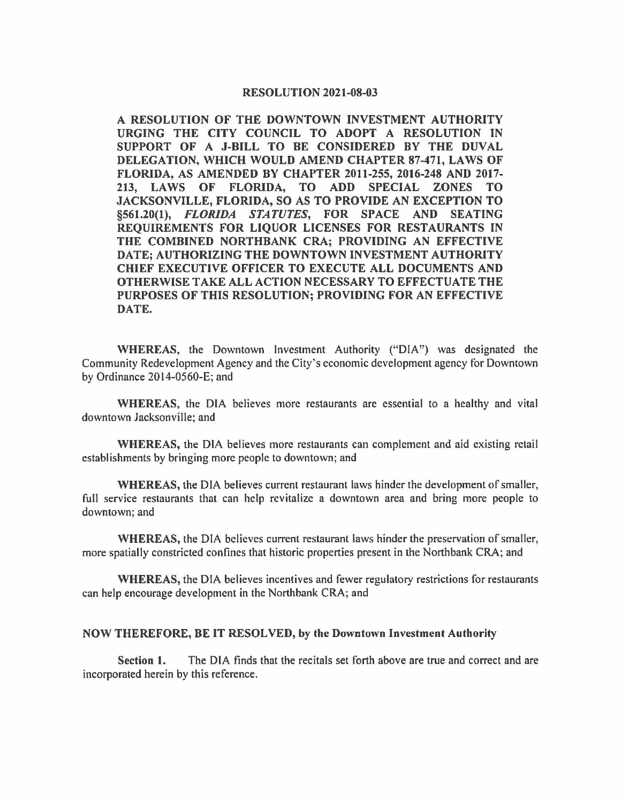## **RESOLUTION 2021-08-03**

**A RESOLUTION OF THE DOWNTOWN INVESTMENT AUTHORITY URGING THE CITY COUNCIL TO ADOPT A RESOLUTION IN SUPPORT OF A J-BILL TO BE CONSIDERED BY THE DUVAL DELEGATION, WHICH WOULD AMEND CHAPTER 87-471, LAWS OF FLORIDA, AS AMENDED BY CHAPTER 2011-255, 2016-248 AND 2017- 213, LAWS OF FLORIDA, TO ADD SPECIAL ZONES TO JACKSONVILLE, FLORIDA, SO AS TO PROVIDE AN EXCEPTION TO §561.20(1),** *FLORIDA STATUTES,* **FOR SPACE AND SEATING REQUIREMENTS FOR LIQUOR LICENSES FOR RESTAURANTS IN THE COMBINED NORTHBANK CRA; PROVIDING AN EFFECTIVE DATE; AUTHORIZING THE DOWNTOWN INVESTMENT AUTHORITY CHIEF EXECUTIVE OFFICER TO EXECUTE ALL DOCUMENTS AND OTHERWISE TAKE ALL ACTION NECESSARY TO EFFECTUATE THE PURPOSES OF THIS RESOLUTION; PROVIDING FOR AN EFFECTIVE DATE.** 

**WHEREAS,** the Downtown Investment Authority ("DIA") was designated the Community Redevelopment Agency and the City's economic development agency for Downtown by Ordinance 2014-0560-E; and

**WHEREAS,** the DIA believes more restaurants are essential to a healthy and vital downtown Jacksonville; and

**WHEREAS,** the DIA believes more restaurants can complement and aid existing retail establishments by bringing more people to downtown; and

**WHEREAS,** the DIA believes current restaurant laws hinder the development of smaller, full service restaurants that can help revitalize a downtown area and bring more people to downtown; and

**WHEREAS,** the DIA believes current restaurant laws hinder the preservation of smaller, more spatially constricted confines that historic properties present in the Northbank CRA; and

**WHEREAS,** the DIA believes incentives and fewer regulatory restrictions for restaurants can help encourage development in the Northbank CRA; and

## **NOW THEREFORE, BE IT RESOLVED, by the Downtown Investment Authority**

**Section 1.** The DIA finds that the recitals set forth above are true and correct and are incorporated herein by this reference.